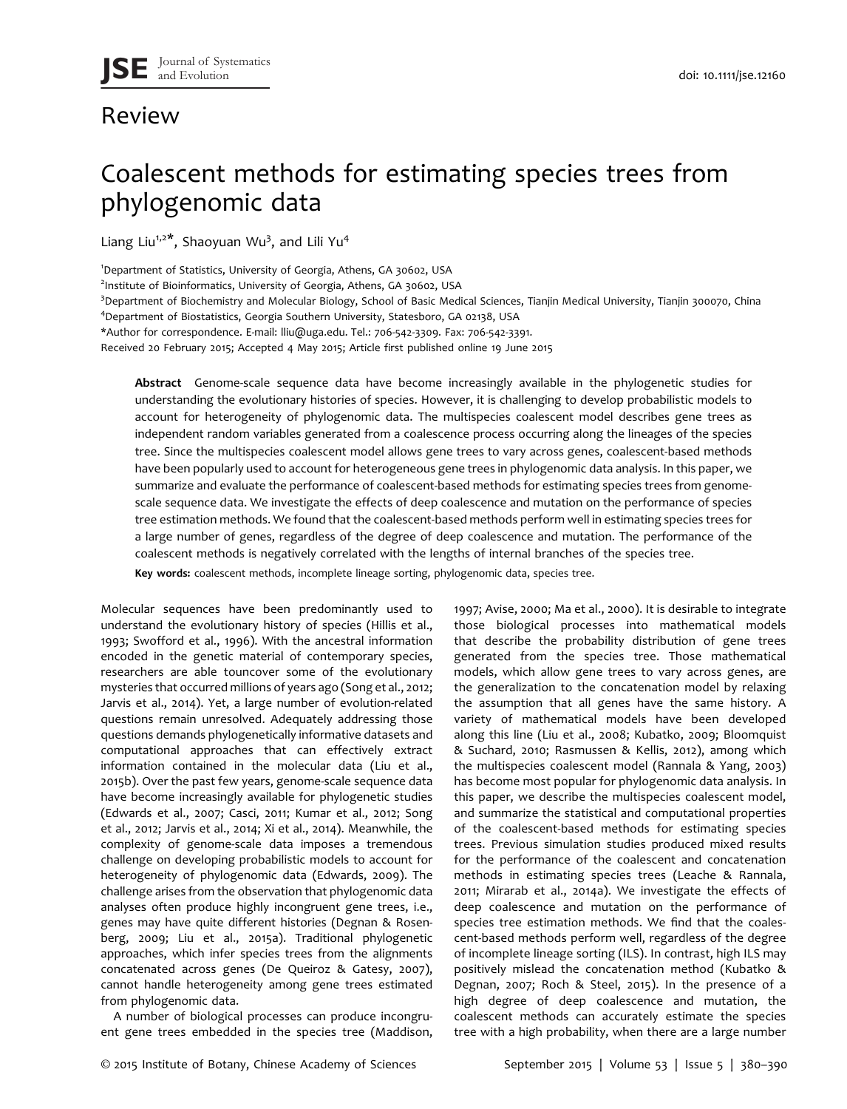## Review

# Coalescent methods for estimating species trees from phylogenomic data

Liang Liu<sup>1,2\*</sup>, Shaoyuan Wu<sup>3</sup>, and Lili Yu<sup>4</sup>

<sup>1</sup>Department of Statistics, University of Georgia, Athens, GA 30602, USA

<sup>2</sup>Institute of Bioinformatics, University of Georgia, Athens, GA 30602, USA

3 Department of Biochemistry and Molecular Biology, School of Basic Medical Sciences, Tianjin Medical University, Tianjin 300070, China 4 Department of Biostatistics, Georgia Southern University, Statesboro, GA 02138, USA

\*Author for correspondence. E-mail: lliu@uga.edu. Tel.: 706-542-3309. Fax: 706-542-3391.

Received 20 February 2015; Accepted 4 May 2015; Article first published online 19 June 2015

Abstract Genome-scale sequence data have become increasingly available in the phylogenetic studies for understanding the evolutionary histories of species. However, it is challenging to develop probabilistic models to account for heterogeneity of phylogenomic data. The multispecies coalescent model describes gene trees as independent random variables generated from a coalescence process occurring along the lineages of the species tree. Since the multispecies coalescent model allows gene trees to vary across genes, coalescent-based methods have been popularly used to account for heterogeneous gene trees in phylogenomic data analysis. In this paper, we summarize and evaluate the performance of coalescent-based methods for estimating species trees from genomescale sequence data. We investigate the effects of deep coalescence and mutation on the performance of species tree estimation methods. We found that the coalescent-based methods perform well in estimating species trees for a large number of genes, regardless of the degree of deep coalescence and mutation. The performance of the coalescent methods is negatively correlated with the lengths of internal branches of the species tree.

Key words: coalescent methods, incomplete lineage sorting, phylogenomic data, species tree.

Molecular sequences have been predominantly used to understand the evolutionary history of species (Hillis et al., 1993; Swofford et al., 1996). With the ancestral information encoded in the genetic material of contemporary species, researchers are able touncover some of the evolutionary mysteries that occurred millions of years ago (Song et al., 2012; Jarvis et al., 2014). Yet, a large number of evolution-related questions remain unresolved. Adequately addressing those questions demands phylogenetically informative datasets and computational approaches that can effectively extract information contained in the molecular data (Liu et al., 2015b). Over the past few years, genome-scale sequence data have become increasingly available for phylogenetic studies (Edwards et al., 2007; Casci, 2011; Kumar et al., 2012; Song et al., 2012; Jarvis et al., 2014; Xi et al., 2014). Meanwhile, the complexity of genome-scale data imposes a tremendous challenge on developing probabilistic models to account for heterogeneity of phylogenomic data (Edwards, 2009). The challenge arises from the observation that phylogenomic data analyses often produce highly incongruent gene trees, i.e., genes may have quite different histories (Degnan & Rosenberg, 2009; Liu et al., 2015a). Traditional phylogenetic approaches, which infer species trees from the alignments concatenated across genes (De Queiroz & Gatesy, 2007), cannot handle heterogeneity among gene trees estimated from phylogenomic data.

A number of biological processes can produce incongruent gene trees embedded in the species tree (Maddison,

1997; Avise, 2000; Ma et al., 2000). It is desirable to integrate those biological processes into mathematical models that describe the probability distribution of gene trees generated from the species tree. Those mathematical models, which allow gene trees to vary across genes, are the generalization to the concatenation model by relaxing the assumption that all genes have the same history. A variety of mathematical models have been developed along this line (Liu et al., 2008; Kubatko, 2009; Bloomquist & Suchard, 2010; Rasmussen & Kellis, 2012), among which the multispecies coalescent model (Rannala & Yang, 2003) has become most popular for phylogenomic data analysis. In this paper, we describe the multispecies coalescent model, and summarize the statistical and computational properties of the coalescent-based methods for estimating species trees. Previous simulation studies produced mixed results for the performance of the coalescent and concatenation methods in estimating species trees (Leache & Rannala, 2011; Mirarab et al., 2014a). We investigate the effects of deep coalescence and mutation on the performance of species tree estimation methods. We find that the coalescent-based methods perform well, regardless of the degree of incomplete lineage sorting (ILS). In contrast, high ILS may positively mislead the concatenation method (Kubatko & Degnan, 2007; Roch & Steel, 2015). In the presence of a high degree of deep coalescence and mutation, the coalescent methods can accurately estimate the species tree with a high probability, when there are a large number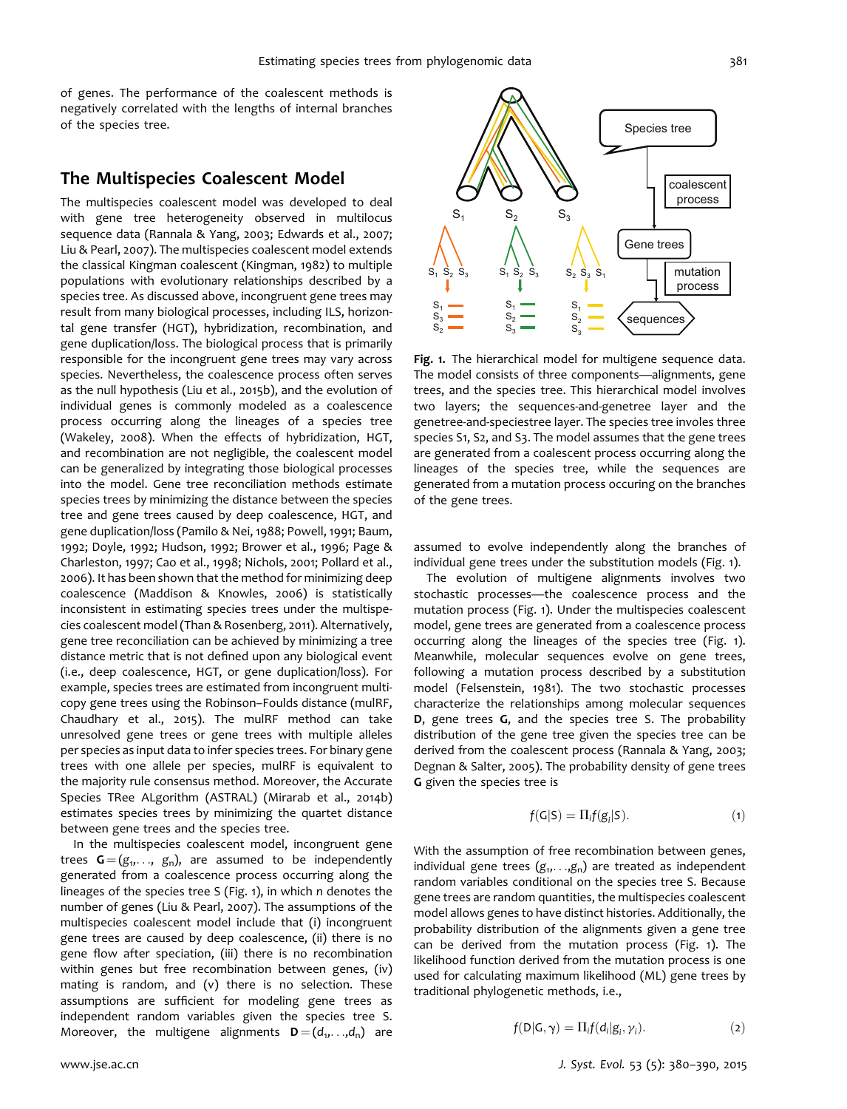of genes. The performance of the coalescent methods is negatively correlated with the lengths of internal branches of the species tree.

### The Multispecies Coalescent Model

The multispecies coalescent model was developed to deal with gene tree heterogeneity observed in multilocus sequence data (Rannala & Yang, 2003; Edwards et al., 2007; Liu & Pearl, 2007). The multispecies coalescent model extends the classical Kingman coalescent (Kingman, 1982) to multiple populations with evolutionary relationships described by a species tree. As discussed above, incongruent gene trees may result from many biological processes, including ILS, horizontal gene transfer (HGT), hybridization, recombination, and gene duplication/loss. The biological process that is primarily responsible for the incongruent gene trees may vary across species. Nevertheless, the coalescence process often serves as the null hypothesis (Liu et al., 2015b), and the evolution of individual genes is commonly modeled as a coalescence process occurring along the lineages of a species tree (Wakeley, 2008). When the effects of hybridization, HGT, and recombination are not negligible, the coalescent model can be generalized by integrating those biological processes into the model. Gene tree reconciliation methods estimate species trees by minimizing the distance between the species tree and gene trees caused by deep coalescence, HGT, and gene duplication/loss (Pamilo & Nei, 1988; Powell, 1991; Baum, 1992; Doyle, 1992; Hudson, 1992; Brower et al., 1996; Page & Charleston, 1997; Cao et al., 1998; Nichols, 2001; Pollard et al., 2006). It has been shown that the method for minimizing deep coalescence (Maddison & Knowles, 2006) is statistically inconsistent in estimating species trees under the multispecies coalescent model (Than & Rosenberg, 2011). Alternatively, gene tree reconciliation can be achieved by minimizing a tree distance metric that is not defined upon any biological event (i.e., deep coalescence, HGT, or gene duplication/loss). For example, species trees are estimated from incongruent multicopy gene trees using the Robinson–Foulds distance (mulRF, Chaudhary et al., 2015). The mulRF method can take unresolved gene trees or gene trees with multiple alleles per species as input data to infer species trees. For binary gene trees with one allele per species, mulRF is equivalent to the majority rule consensus method. Moreover, the Accurate Species TRee ALgorithm (ASTRAL) (Mirarab et al., 2014b) estimates species trees by minimizing the quartet distance between gene trees and the species tree.

In the multispecies coalescent model, incongruent gene trees  $\mathbf{G} = (g_1, \ldots, g_n)$ , are assumed to be independently generated from a coalescence process occurring along the lineages of the species tree S (Fig. 1), in which n denotes the number of genes (Liu & Pearl, 2007). The assumptions of the multispecies coalescent model include that (i) incongruent gene trees are caused by deep coalescence, (ii) there is no gene flow after speciation, (iii) there is no recombination within genes but free recombination between genes, (iv) mating is random, and (v) there is no selection. These assumptions are sufficient for modeling gene trees as independent random variables given the species tree S. Moreover, the multigene alignments  $\mathbf{D} = (d_1, \ldots, d_n)$  are



Fig. 1. The hierarchical model for multigene sequence data. The model consists of three components—alignments, gene trees, and the species tree. This hierarchical model involves two layers; the sequences-and-genetree layer and the genetree-and-speciestree layer. The species tree involes three species S1, S2, and S3. The model assumes that the gene trees are generated from a coalescent process occurring along the lineages of the species tree, while the sequences are generated from a mutation process occuring on the branches of the gene trees.

assumed to evolve independently along the branches of individual gene trees under the substitution models (Fig. 1).

The evolution of multigene alignments involves two stochastic processes—the coalescence process and the mutation process (Fig. 1). Under the multispecies coalescent model, gene trees are generated from a coalescence process occurring along the lineages of the species tree (Fig. 1). Meanwhile, molecular sequences evolve on gene trees, following a mutation process described by a substitution model (Felsenstein, 1981). The two stochastic processes characterize the relationships among molecular sequences D, gene trees G, and the species tree S. The probability distribution of the gene tree given the species tree can be derived from the coalescent process (Rannala & Yang, 2003; Degnan & Salter, 2005). The probability density of gene trees G given the species tree is

$$
f(G|S) = \Pi_i f(g_i|S). \tag{1}
$$

With the assumption of free recombination between genes, individual gene trees  $(g_1, \ldots, g_n)$  are treated as independent random variables conditional on the species tree S. Because gene trees are random quantities, the multispecies coalescent model allows genes to have distinct histories. Additionally, the probability distribution of the alignments given a gene tree can be derived from the mutation process (Fig. 1). The likelihood function derived from the mutation process is one used for calculating maximum likelihood (ML) gene trees by traditional phylogenetic methods, i.e.,

$$
f(D|G,\gamma)=\Pi_{i}f(d_{i}|g_{i},\gamma_{i}).
$$
\n(2)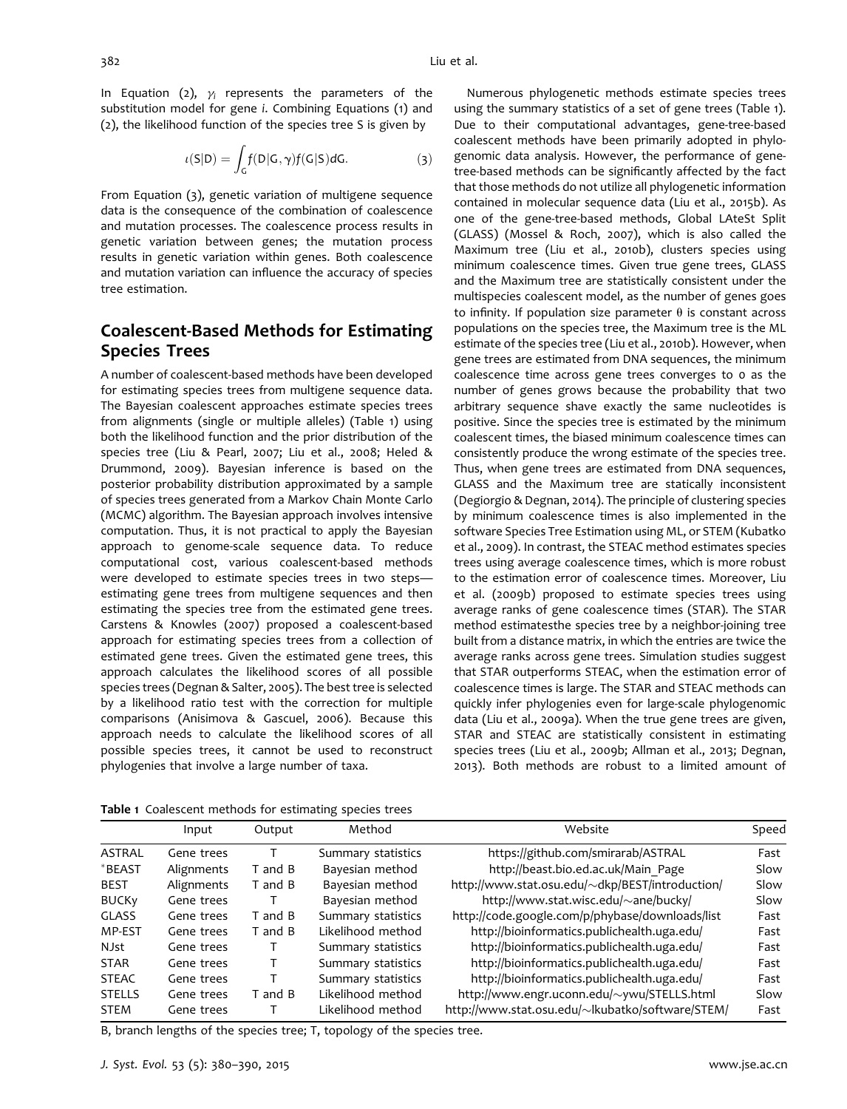In Equation (2),  $y_i$  represents the parameters of the substitution model for gene i. Combining Equations (1) and (2), the likelihood function of the species tree S is given by

$$
\iota(S|D) = \int_G f(D|G,\gamma) f(G|S) dG. \tag{3}
$$

From Equation (3), genetic variation of multigene sequence data is the consequence of the combination of coalescence and mutation processes. The coalescence process results in genetic variation between genes; the mutation process results in genetic variation within genes. Both coalescence and mutation variation can influence the accuracy of species tree estimation.

## Coalescent-Based Methods for Estimating Species Trees

A number of coalescent-based methods have been developed for estimating species trees from multigene sequence data. The Bayesian coalescent approaches estimate species trees from alignments (single or multiple alleles) (Table 1) using both the likelihood function and the prior distribution of the species tree (Liu & Pearl, 2007; Liu et al., 2008; Heled & Drummond, 2009). Bayesian inference is based on the posterior probability distribution approximated by a sample of species trees generated from a Markov Chain Monte Carlo (MCMC) algorithm. The Bayesian approach involves intensive computation. Thus, it is not practical to apply the Bayesian approach to genome-scale sequence data. To reduce computational cost, various coalescent-based methods were developed to estimate species trees in two steps estimating gene trees from multigene sequences and then estimating the species tree from the estimated gene trees. Carstens & Knowles (2007) proposed a coalescent-based approach for estimating species trees from a collection of estimated gene trees. Given the estimated gene trees, this approach calculates the likelihood scores of all possible species trees (Degnan & Salter, 2005). The best tree is selected by a likelihood ratio test with the correction for multiple comparisons (Anisimova & Gascuel, 2006). Because this approach needs to calculate the likelihood scores of all possible species trees, it cannot be used to reconstruct phylogenies that involve a large number of taxa.

Numerous phylogenetic methods estimate species trees using the summary statistics of a set of gene trees (Table 1). Due to their computational advantages, gene-tree-based coalescent methods have been primarily adopted in phylogenomic data analysis. However, the performance of genetree-based methods can be significantly affected by the fact that those methods do not utilize all phylogenetic information contained in molecular sequence data (Liu et al., 2015b). As one of the gene-tree-based methods, Global LAteSt Split (GLASS) (Mossel & Roch, 2007), which is also called the Maximum tree (Liu et al., 2010b), clusters species using minimum coalescence times. Given true gene trees, GLASS and the Maximum tree are statistically consistent under the multispecies coalescent model, as the number of genes goes to infinity. If population size parameter  $\theta$  is constant across populations on the species tree, the Maximum tree is the ML estimate of the species tree (Liu et al., 2010b). However, when gene trees are estimated from DNA sequences, the minimum coalescence time across gene trees converges to 0 as the number of genes grows because the probability that two arbitrary sequence shave exactly the same nucleotides is positive. Since the species tree is estimated by the minimum coalescent times, the biased minimum coalescence times can consistently produce the wrong estimate of the species tree. Thus, when gene trees are estimated from DNA sequences, GLASS and the Maximum tree are statically inconsistent (Degiorgio & Degnan, 2014). The principle of clustering species by minimum coalescence times is also implemented in the software Species Tree Estimation using ML, or STEM (Kubatko et al., 2009). In contrast, the STEAC method estimates species trees using average coalescence times, which is more robust to the estimation error of coalescence times. Moreover, Liu et al. (2009b) proposed to estimate species trees using average ranks of gene coalescence times (STAR). The STAR method estimatesthe species tree by a neighbor-joining tree built from a distance matrix, in which the entries are twice the average ranks across gene trees. Simulation studies suggest that STAR outperforms STEAC, when the estimation error of coalescence times is large. The STAR and STEAC methods can quickly infer phylogenies even for large-scale phylogenomic data (Liu et al., 2009a). When the true gene trees are given, STAR and STEAC are statistically consistent in estimating species trees (Liu et al., 2009b; Allman et al., 2013; Degnan, 2013). Both methods are robust to a limited amount of

Table 1 Coalescent methods for estimating species trees

|               | Input      | Output  | Method             | Website                                          | Speed |
|---------------|------------|---------|--------------------|--------------------------------------------------|-------|
| ASTRAL        | Gene trees |         | Summary statistics | https://github.com/smirarab/ASTRAL               | Fast  |
| *BEAST        | Alignments | T and B | Bayesian method    | http://beast.bio.ed.ac.uk/Main Page              | Slow  |
| <b>BEST</b>   | Alignments | T and B | Bayesian method    | http://www.stat.osu.edu/~dkp/BEST/introduction/  | Slow  |
| <b>BUCKy</b>  | Gene trees |         | Bayesian method    | http://www.stat.wisc.edu/ $\sim$ ane/bucky/      | Slow  |
| GLASS         | Gene trees | T and B | Summary statistics | http://code.google.com/p/phybase/downloads/list  | Fast  |
| MP-EST        | Gene trees | T and B | Likelihood method  | http://bioinformatics.publichealth.uga.edu/      | Fast  |
| NJst          | Gene trees |         | Summary statistics | http://bioinformatics.publichealth.uga.edu/      | Fast  |
| <b>STAR</b>   | Gene trees |         | Summary statistics | http://bioinformatics.publichealth.uga.edu/      | Fast  |
| <b>STEAC</b>  | Gene trees |         | Summary statistics | http://bioinformatics.publichealth.uga.edu/      | Fast  |
| <b>STELLS</b> | Gene trees | T and B | Likelihood method  | http://www.engr.uconn.edu/~ywu/STELLS.html       | Slow  |
| <b>STEM</b>   | Gene trees |         | Likelihood method  | http://www.stat.osu.edu/~lkubatko/software/STEM/ | Fast  |

B, branch lengths of the species tree; T, topology of the species tree.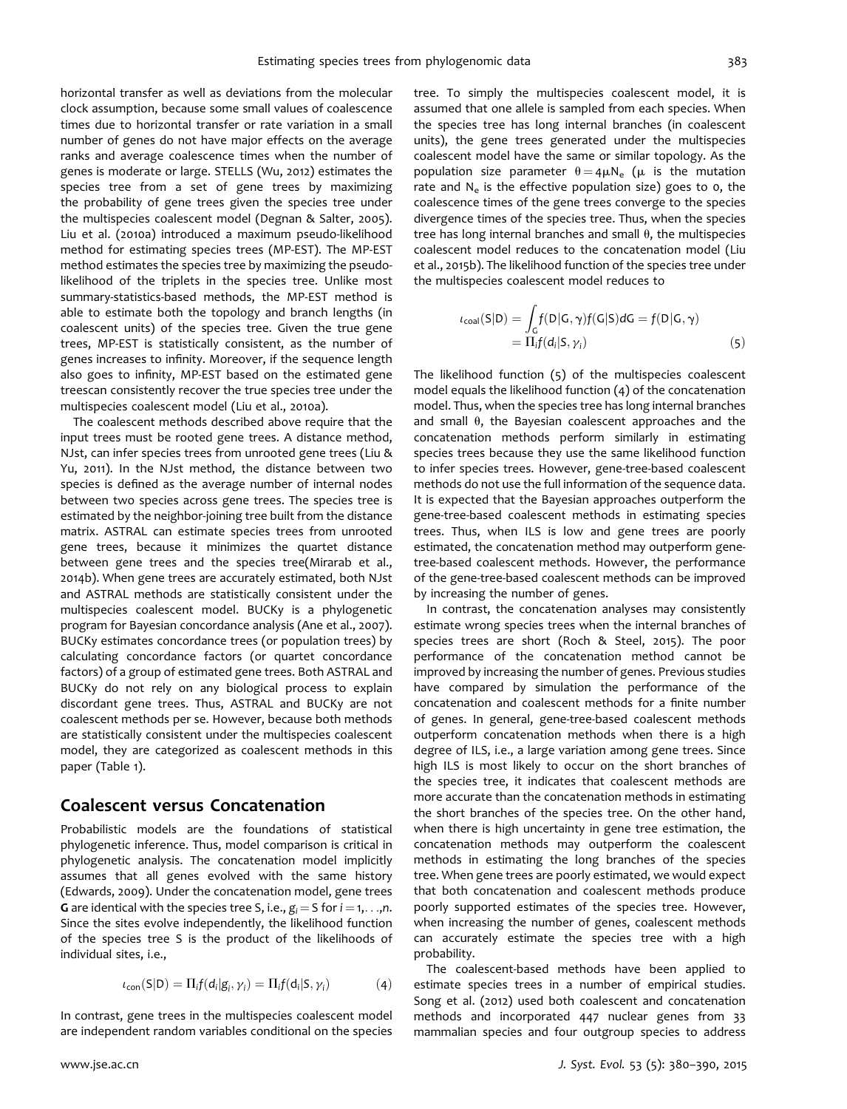horizontal transfer as well as deviations from the molecular clock assumption, because some small values of coalescence times due to horizontal transfer or rate variation in a small number of genes do not have major effects on the average ranks and average coalescence times when the number of genes is moderate or large. STELLS (Wu, 2012) estimates the species tree from a set of gene trees by maximizing the probability of gene trees given the species tree under the multispecies coalescent model (Degnan & Salter, 2005). Liu et al. (2010a) introduced a maximum pseudo-likelihood method for estimating species trees (MP-EST). The MP-EST method estimates the species tree by maximizing the pseudolikelihood of the triplets in the species tree. Unlike most summary-statistics-based methods, the MP-EST method is able to estimate both the topology and branch lengths (in coalescent units) of the species tree. Given the true gene trees, MP-EST is statistically consistent, as the number of genes increases to infinity. Moreover, if the sequence length also goes to infinity, MP-EST based on the estimated gene treescan consistently recover the true species tree under the multispecies coalescent model (Liu et al., 2010a).

The coalescent methods described above require that the input trees must be rooted gene trees. A distance method, NJst, can infer species trees from unrooted gene trees (Liu & Yu, 2011). In the NJst method, the distance between two species is defined as the average number of internal nodes between two species across gene trees. The species tree is estimated by the neighbor-joining tree built from the distance matrix. ASTRAL can estimate species trees from unrooted gene trees, because it minimizes the quartet distance between gene trees and the species tree(Mirarab et al., 2014b). When gene trees are accurately estimated, both NJst and ASTRAL methods are statistically consistent under the multispecies coalescent model. BUCKy is a phylogenetic program for Bayesian concordance analysis (Ane et al., 2007). BUCKy estimates concordance trees (or population trees) by calculating concordance factors (or quartet concordance factors) of a group of estimated gene trees. Both ASTRAL and BUCKy do not rely on any biological process to explain discordant gene trees. Thus, ASTRAL and BUCKy are not coalescent methods per se. However, because both methods are statistically consistent under the multispecies coalescent model, they are categorized as coalescent methods in this paper (Table 1).

## Coalescent versus Concatenation

Probabilistic models are the foundations of statistical phylogenetic inference. Thus, model comparison is critical in phylogenetic analysis. The concatenation model implicitly assumes that all genes evolved with the same history (Edwards, 2009). Under the concatenation model, gene trees **G** are identical with the species tree S, i.e.,  $g_i = S$  for  $i = 1, \ldots, n$ . Since the sites evolve independently, the likelihood function of the species tree S is the product of the likelihoods of individual sites, i.e.,

$$
\iota_{con}(S|D) = \Pi_i f(d_i|g_i, \gamma_i) = \Pi_i f(d_i|S, \gamma_i)
$$
 (4)

In contrast, gene trees in the multispecies coalescent model are independent random variables conditional on the species tree. To simply the multispecies coalescent model, it is assumed that one allele is sampled from each species. When the species tree has long internal branches (in coalescent units), the gene trees generated under the multispecies coalescent model have the same or similar topology. As the population size parameter  $\theta = 4\mu N_e$  ( $\mu$  is the mutation rate and  $N_e$  is the effective population size) goes to  $o$ , the coalescence times of the gene trees converge to the species divergence times of the species tree. Thus, when the species tree has long internal branches and small  $\theta$ , the multispecies coalescent model reduces to the concatenation model (Liu et al., 2015b). The likelihood function of the species tree under the multispecies coalescent model reduces to

$$
\iota_{\text{coal}}(S|D) = \int_{G} f(D|G, \gamma) f(G|S) dG = f(D|G, \gamma)
$$
  
=  $\Pi_{if}(d_i|S, \gamma_i)$  (5)

The likelihood function (5) of the multispecies coalescent model equals the likelihood function (4) of the concatenation model. Thus, when the species tree has long internal branches and small  $\theta$ , the Bayesian coalescent approaches and the concatenation methods perform similarly in estimating species trees because they use the same likelihood function to infer species trees. However, gene-tree-based coalescent methods do not use the full information of the sequence data. It is expected that the Bayesian approaches outperform the gene-tree-based coalescent methods in estimating species trees. Thus, when ILS is low and gene trees are poorly estimated, the concatenation method may outperform genetree-based coalescent methods. However, the performance of the gene-tree-based coalescent methods can be improved by increasing the number of genes.

In contrast, the concatenation analyses may consistently estimate wrong species trees when the internal branches of species trees are short (Roch & Steel, 2015). The poor performance of the concatenation method cannot be improved by increasing the number of genes. Previous studies have compared by simulation the performance of the concatenation and coalescent methods for a finite number of genes. In general, gene-tree-based coalescent methods outperform concatenation methods when there is a high degree of ILS, i.e., a large variation among gene trees. Since high ILS is most likely to occur on the short branches of the species tree, it indicates that coalescent methods are more accurate than the concatenation methods in estimating the short branches of the species tree. On the other hand, when there is high uncertainty in gene tree estimation, the concatenation methods may outperform the coalescent methods in estimating the long branches of the species tree. When gene trees are poorly estimated, we would expect that both concatenation and coalescent methods produce poorly supported estimates of the species tree. However, when increasing the number of genes, coalescent methods can accurately estimate the species tree with a high probability.

The coalescent-based methods have been applied to estimate species trees in a number of empirical studies. Song et al. (2012) used both coalescent and concatenation methods and incorporated 447 nuclear genes from 33 mammalian species and four outgroup species to address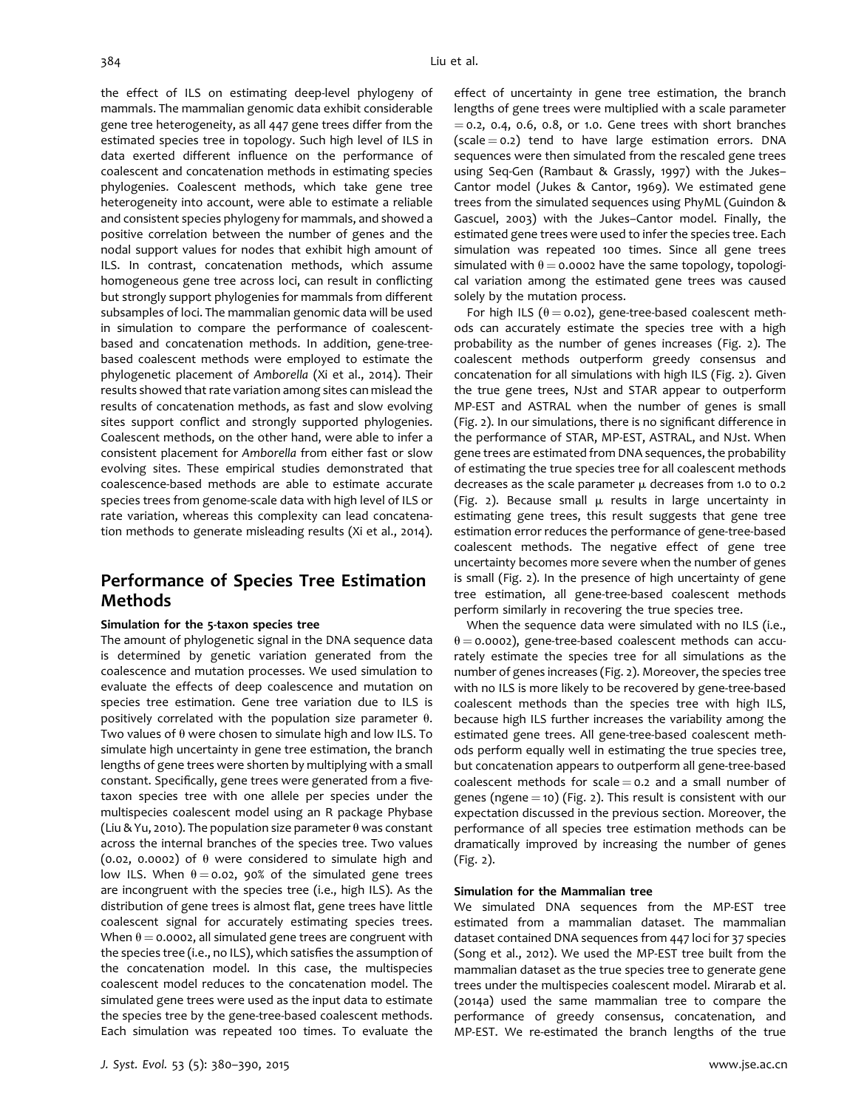384 Liu et al.

the effect of ILS on estimating deep-level phylogeny of mammals. The mammalian genomic data exhibit considerable gene tree heterogeneity, as all 447 gene trees differ from the estimated species tree in topology. Such high level of ILS in data exerted different influence on the performance of coalescent and concatenation methods in estimating species phylogenies. Coalescent methods, which take gene tree heterogeneity into account, were able to estimate a reliable and consistent species phylogeny for mammals, and showed a positive correlation between the number of genes and the nodal support values for nodes that exhibit high amount of ILS. In contrast, concatenation methods, which assume homogeneous gene tree across loci, can result in conflicting but strongly support phylogenies for mammals from different subsamples of loci. The mammalian genomic data will be used in simulation to compare the performance of coalescentbased and concatenation methods. In addition, gene-treebased coalescent methods were employed to estimate the phylogenetic placement of Amborella (Xi et al., 2014). Their results showed that rate variation among sites can mislead the results of concatenation methods, as fast and slow evolving sites support conflict and strongly supported phylogenies. Coalescent methods, on the other hand, were able to infer a consistent placement for Amborella from either fast or slow evolving sites. These empirical studies demonstrated that coalescence-based methods are able to estimate accurate species trees from genome-scale data with high level of ILS or rate variation, whereas this complexity can lead concatenation methods to generate misleading results (Xi et al., 2014).

## Performance of Species Tree Estimation Methods

#### Simulation for the 5-taxon species tree

The amount of phylogenetic signal in the DNA sequence data is determined by genetic variation generated from the coalescence and mutation processes. We used simulation to evaluate the effects of deep coalescence and mutation on species tree estimation. Gene tree variation due to ILS is positively correlated with the population size parameter  $\theta$ . Two values of  $\theta$  were chosen to simulate high and low ILS. To simulate high uncertainty in gene tree estimation, the branch lengths of gene trees were shorten by multiplying with a small constant. Specifically, gene trees were generated from a fivetaxon species tree with one allele per species under the multispecies coalescent model using an R package Phybase (Liu & Yu, 2010). The population size parameter  $\theta$  was constant across the internal branches of the species tree. Two values (0.02, 0.0002) of  $\theta$  were considered to simulate high and low ILS. When  $\theta = 0.02$ , 90% of the simulated gene trees are incongruent with the species tree (i.e., high ILS). As the distribution of gene trees is almost flat, gene trees have little coalescent signal for accurately estimating species trees. When  $\theta = 0.0002$ , all simulated gene trees are congruent with the species tree (i.e., no ILS), which satisfies the assumption of the concatenation model. In this case, the multispecies coalescent model reduces to the concatenation model. The simulated gene trees were used as the input data to estimate the species tree by the gene-tree-based coalescent methods. Each simulation was repeated 100 times. To evaluate the

effect of uncertainty in gene tree estimation, the branch lengths of gene trees were multiplied with a scale parameter  $=$  0.2, 0.4, 0.6, 0.8, or 1.0. Gene trees with short branches  $(scale = 0.2)$  tend to have large estimation errors. DNA sequences were then simulated from the rescaled gene trees using Seq-Gen (Rambaut & Grassly, 1997) with the Jukes– Cantor model (Jukes & Cantor, 1969). We estimated gene trees from the simulated sequences using PhyML (Guindon & Gascuel, 2003) with the Jukes–Cantor model. Finally, the estimated gene trees were used to infer the species tree. Each simulation was repeated 100 times. Since all gene trees simulated with  $\theta$  = 0.0002 have the same topology, topological variation among the estimated gene trees was caused solely by the mutation process.

For high ILS ( $\theta = 0.02$ ), gene-tree-based coalescent methods can accurately estimate the species tree with a high probability as the number of genes increases (Fig. 2). The coalescent methods outperform greedy consensus and concatenation for all simulations with high ILS (Fig. 2). Given the true gene trees, NJst and STAR appear to outperform MP-EST and ASTRAL when the number of genes is small (Fig. 2). In our simulations, there is no significant difference in the performance of STAR, MP-EST, ASTRAL, and NJst. When gene trees are estimated from DNA sequences, the probability of estimating the true species tree for all coalescent methods decreases as the scale parameter  $\mu$  decreases from 1.0 to 0.2 (Fig. 2). Because small  $\mu$  results in large uncertainty in estimating gene trees, this result suggests that gene tree estimation error reduces the performance of gene-tree-based coalescent methods. The negative effect of gene tree uncertainty becomes more severe when the number of genes is small (Fig. 2). In the presence of high uncertainty of gene tree estimation, all gene-tree-based coalescent methods perform similarly in recovering the true species tree.

When the sequence data were simulated with no ILS (i.e.,  $\theta$  = 0.0002), gene-tree-based coalescent methods can accurately estimate the species tree for all simulations as the number of genes increases (Fig. 2). Moreover, the species tree with no ILS is more likely to be recovered by gene-tree-based coalescent methods than the species tree with high ILS, because high ILS further increases the variability among the estimated gene trees. All gene-tree-based coalescent methods perform equally well in estimating the true species tree, but concatenation appears to outperform all gene-tree-based coalescent methods for scale  $= 0.2$  and a small number of genes (ngene  $=$  10) (Fig. 2). This result is consistent with our expectation discussed in the previous section. Moreover, the performance of all species tree estimation methods can be dramatically improved by increasing the number of genes (Fig. 2).

#### Simulation for the Mammalian tree

We simulated DNA sequences from the MP-EST tree estimated from a mammalian dataset. The mammalian dataset contained DNA sequences from 447 loci for 37 species (Song et al., 2012). We used the MP-EST tree built from the mammalian dataset as the true species tree to generate gene trees under the multispecies coalescent model. Mirarab et al. (2014a) used the same mammalian tree to compare the performance of greedy consensus, concatenation, and MP-EST. We re-estimated the branch lengths of the true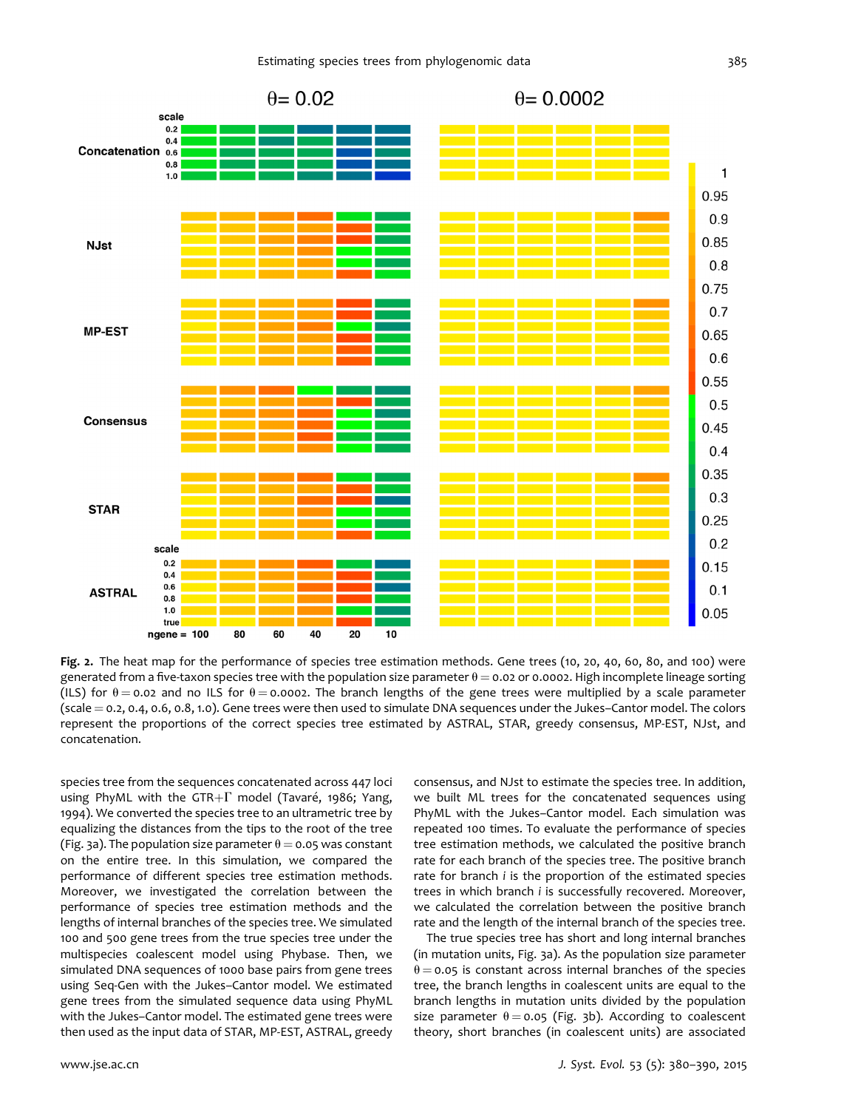

Fig. 2. The heat map for the performance of species tree estimation methods. Gene trees (10, 20, 40, 60, 80, and 100) were generated from a five-taxon species tree with the population size parameter  $\theta$  = 0.02 or 0.0002. High incomplete lineage sorting (ILS) for  $\theta = 0.02$  and no ILS for  $\theta = 0.0002$ . The branch lengths of the gene trees were multiplied by a scale parameter  $(scale = 0.2, 0.4, 0.6, 0.8, 1.0)$ . Gene trees were then used to simulate DNA sequences under the Jukes–Cantor model. The colors represent the proportions of the correct species tree estimated by ASTRAL, STAR, greedy consensus, MP-EST, NJst, and concatenation.

species tree from the sequences concatenated across 447 loci using PhyML with the GTR $+\Gamma$  model (Tavaré, 1986; Yang, -<br>1994) We converted the species tree to an ultrametric tree by 1994). We converted the species tree to an ultrametric tree by equalizing the distances from the tips to the root of the tree (Fig. 3a). The population size parameter  $\theta = 0.05$  was constant on the entire tree. In this simulation, we compared the performance of different species tree estimation methods. Moreover, we investigated the correlation between the performance of species tree estimation methods and the lengths of internal branches of the species tree. We simulated 100 and 500 gene trees from the true species tree under the multispecies coalescent model using Phybase. Then, we simulated DNA sequences of 1000 base pairs from gene trees using Seq-Gen with the Jukes–Cantor model. We estimated gene trees from the simulated sequence data using PhyML with the Jukes–Cantor model. The estimated gene trees were then used as the input data of STAR, MP-EST, ASTRAL, greedy

consensus, and NJst to estimate the species tree. In addition, we built ML trees for the concatenated sequences using PhyML with the Jukes–Cantor model. Each simulation was repeated 100 times. To evaluate the performance of species tree estimation methods, we calculated the positive branch rate for each branch of the species tree. The positive branch rate for branch i is the proportion of the estimated species trees in which branch i is successfully recovered. Moreover, we calculated the correlation between the positive branch rate and the length of the internal branch of the species tree.

The true species tree has short and long internal branches (in mutation units, Fig. 3a). As the population size parameter  $\theta$  = 0.05 is constant across internal branches of the species tree, the branch lengths in coalescent units are equal to the branch lengths in mutation units divided by the population size parameter  $\theta = 0.05$  (Fig. 3b). According to coalescent theory, short branches (in coalescent units) are associated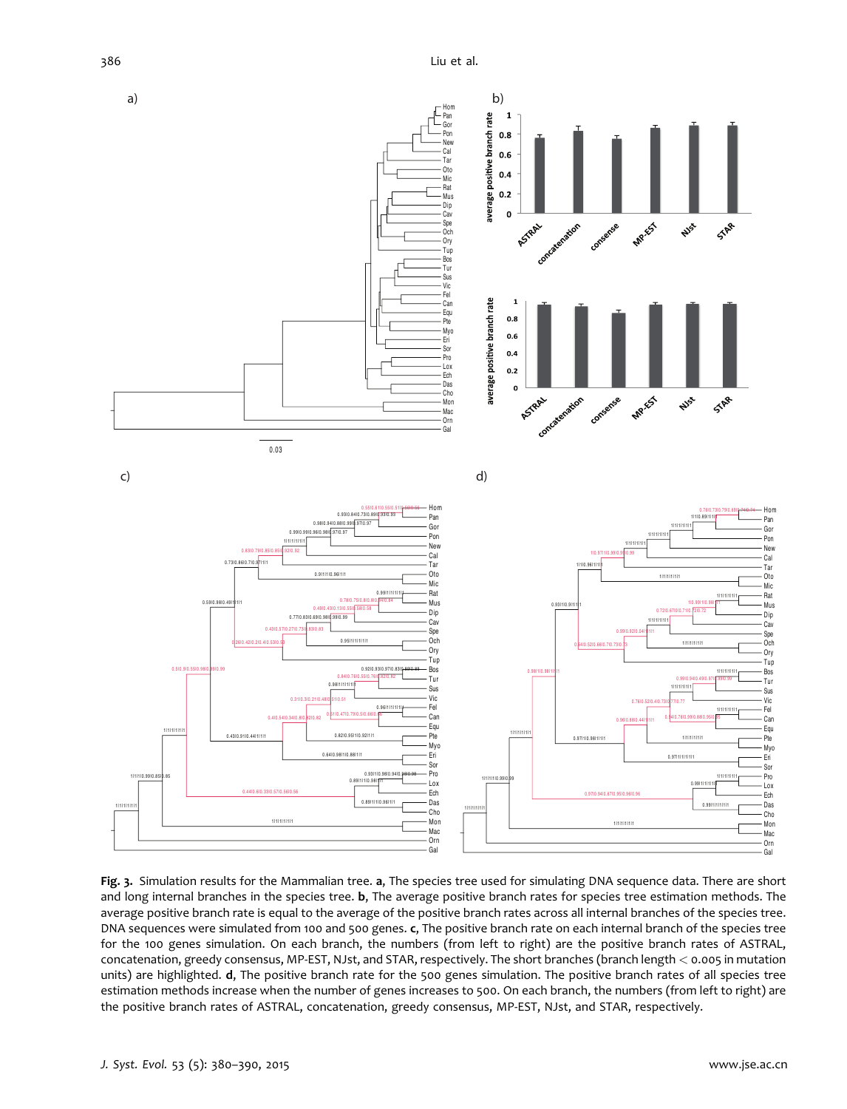

Fig. 3. Simulation results for the Mammalian tree. a, The species tree used for simulating DNA sequence data. There are short and long internal branches in the species tree. b, The average positive branch rates for species tree estimation methods. The average positive branch rate is equal to the average of the positive branch rates across all internal branches of the species tree. DNA sequences were simulated from 100 and 500 genes. c, The positive branch rate on each internal branch of the species tree for the 100 genes simulation. On each branch, the numbers (from left to right) are the positive branch rates of ASTRAL, concatenation, greedy consensus, MP-EST, NJst, and STAR, respectively. The short branches (branch length < 0.005 in mutation units) are highlighted. d, The positive branch rate for the 500 genes simulation. The positive branch rates of all species tree estimation methods increase when the number of genes increases to 500. On each branch, the numbers (from left to right) are the positive branch rates of ASTRAL, concatenation, greedy consensus, MP-EST, NJst, and STAR, respectively.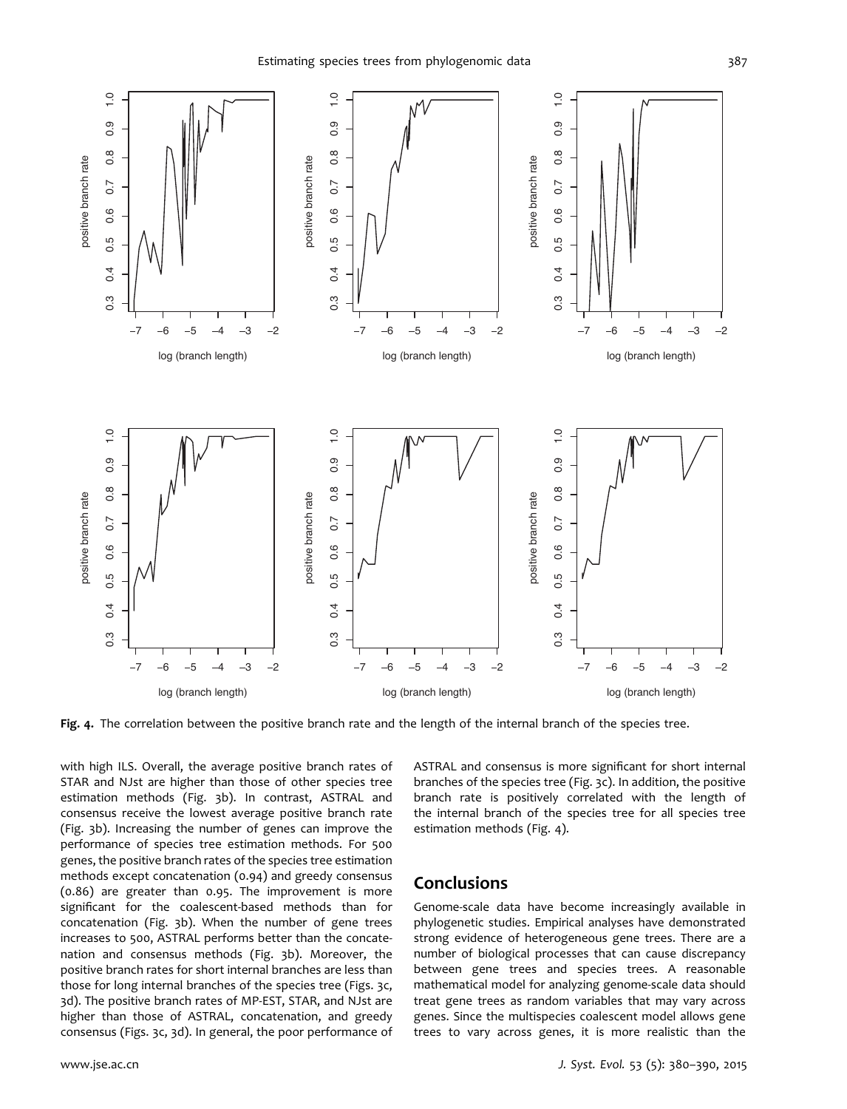

Fig. 4. The correlation between the positive branch rate and the length of the internal branch of the species tree.

with high ILS. Overall, the average positive branch rates of STAR and NJst are higher than those of other species tree estimation methods (Fig. 3b). In contrast, ASTRAL and consensus receive the lowest average positive branch rate (Fig. 3b). Increasing the number of genes can improve the performance of species tree estimation methods. For 500 genes, the positive branch rates of the species tree estimation methods except concatenation (0.94) and greedy consensus (0.86) are greater than 0.95. The improvement is more significant for the coalescent-based methods than for concatenation (Fig. 3b). When the number of gene trees increases to 500, ASTRAL performs better than the concatenation and consensus methods (Fig. 3b). Moreover, the positive branch rates for short internal branches are less than those for long internal branches of the species tree (Figs. 3c, 3d). The positive branch rates of MP-EST, STAR, and NJst are higher than those of ASTRAL, concatenation, and greedy consensus (Figs. 3c, 3d). In general, the poor performance of

ASTRAL and consensus is more significant for short internal branches of the species tree (Fig. 3c). In addition, the positive branch rate is positively correlated with the length of the internal branch of the species tree for all species tree estimation methods (Fig. 4).

## Conclusions

Genome-scale data have become increasingly available in phylogenetic studies. Empirical analyses have demonstrated strong evidence of heterogeneous gene trees. There are a number of biological processes that can cause discrepancy between gene trees and species trees. A reasonable mathematical model for analyzing genome-scale data should treat gene trees as random variables that may vary across genes. Since the multispecies coalescent model allows gene trees to vary across genes, it is more realistic than the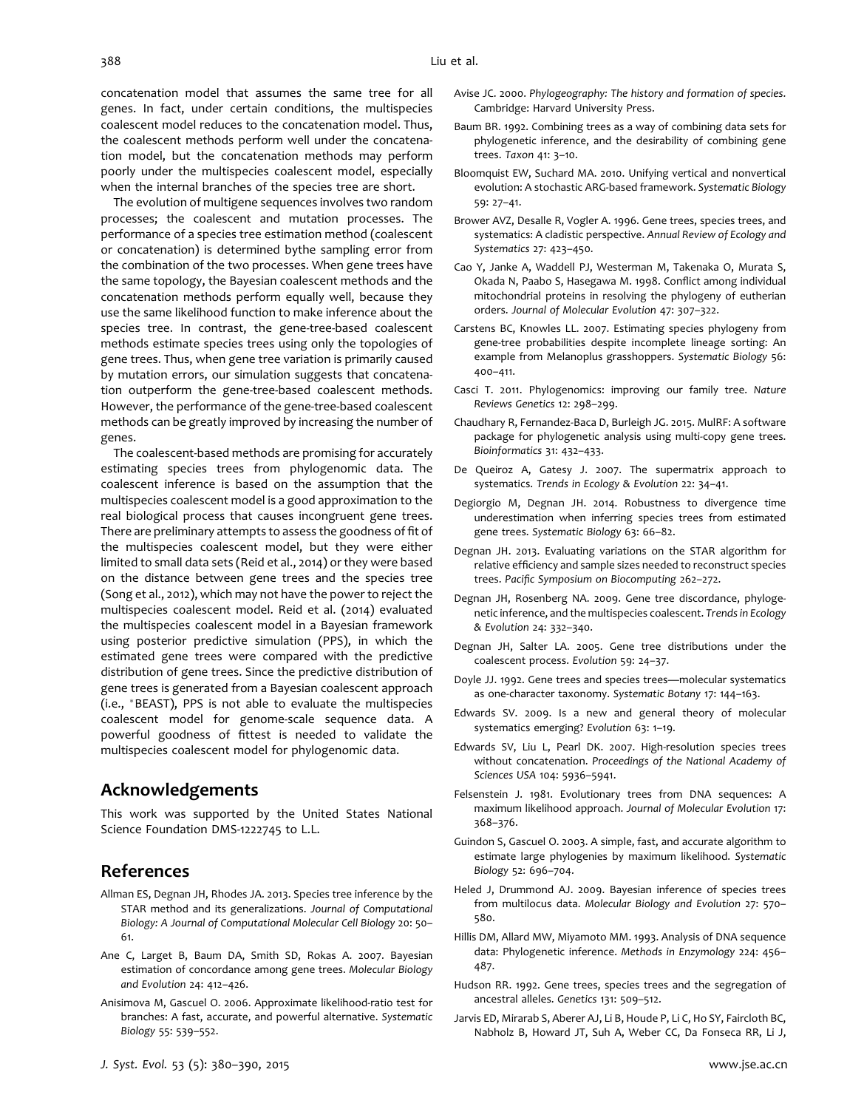concatenation model that assumes the same tree for all genes. In fact, under certain conditions, the multispecies coalescent model reduces to the concatenation model. Thus, the coalescent methods perform well under the concatenation model, but the concatenation methods may perform poorly under the multispecies coalescent model, especially when the internal branches of the species tree are short.

The evolution of multigene sequences involves two random processes; the coalescent and mutation processes. The performance of a species tree estimation method (coalescent or concatenation) is determined bythe sampling error from the combination of the two processes. When gene trees have the same topology, the Bayesian coalescent methods and the concatenation methods perform equally well, because they use the same likelihood function to make inference about the species tree. In contrast, the gene-tree-based coalescent methods estimate species trees using only the topologies of gene trees. Thus, when gene tree variation is primarily caused by mutation errors, our simulation suggests that concatenation outperform the gene-tree-based coalescent methods. However, the performance of the gene-tree-based coalescent methods can be greatly improved by increasing the number of genes.

The coalescent-based methods are promising for accurately estimating species trees from phylogenomic data. The coalescent inference is based on the assumption that the multispecies coalescent model is a good approximation to the real biological process that causes incongruent gene trees. There are preliminary attempts to assess the goodness of fit of the multispecies coalescent model, but they were either limited to small data sets (Reid et al., 2014) or they were based on the distance between gene trees and the species tree (Song et al., 2012), which may not have the power to reject the multispecies coalescent model. Reid et al. (2014) evaluated the multispecies coalescent model in a Bayesian framework using posterior predictive simulation (PPS), in which the estimated gene trees were compared with the predictive distribution of gene trees. Since the predictive distribution of gene trees is generated from a Bayesian coalescent approach (i.e., \*BEAST), PPS is not able to evaluate the multispecies coalescent model for genome-scale sequence data. A powerful goodness of fittest is needed to validate the multispecies coalescent model for phylogenomic data.

## Acknowledgements

This work was supported by the United States National Science Foundation DMS-1222745 to L.L.

## References

- Allman ES, Degnan JH, Rhodes JA. 2013. Species tree inference by the STAR method and its generalizations. Journal of Computational Biology: A Journal of Computational Molecular Cell Biology 20: 50– 61.
- Ane C, Larget B, Baum DA, Smith SD, Rokas A. 2007. Bayesian estimation of concordance among gene trees. Molecular Biology and Evolution 24: 412–426.
- Anisimova M, Gascuel O. 2006. Approximate likelihood-ratio test for branches: A fast, accurate, and powerful alternative. Systematic Biology 55: 539–552.
- Baum BR. 1992. Combining trees as a way of combining data sets for phylogenetic inference, and the desirability of combining gene trees. Taxon 41: 3–10.
- Bloomquist EW, Suchard MA. 2010. Unifying vertical and nonvertical evolution: A stochastic ARG-based framework. Systematic Biology 59: 27–41.
- Brower AVZ, Desalle R, Vogler A. 1996. Gene trees, species trees, and systematics: A cladistic perspective. Annual Review of Ecology and Systematics 27: 423–450.
- Cao Y, Janke A, Waddell PJ, Westerman M, Takenaka O, Murata S, Okada N, Paabo S, Hasegawa M. 1998. Conflict among individual mitochondrial proteins in resolving the phylogeny of eutherian orders. Journal of Molecular Evolution 47: 307–322.
- Carstens BC, Knowles LL. 2007. Estimating species phylogeny from gene-tree probabilities despite incomplete lineage sorting: An example from Melanoplus grasshoppers. Systematic Biology 56: 400–411.
- Casci T. 2011. Phylogenomics: improving our family tree. Nature Reviews Genetics 12: 298–299.
- Chaudhary R, Fernandez-Baca D, Burleigh JG. 2015. MulRF: A software package for phylogenetic analysis using multi-copy gene trees. Bioinformatics 31: 432–433.
- De Queiroz A, Gatesy J. 2007. The supermatrix approach to systematics. Trends in Ecology & Evolution 22: 34–41.
- Degiorgio M, Degnan JH. 2014. Robustness to divergence time underestimation when inferring species trees from estimated gene trees. Systematic Biology 63: 66–82.
- Degnan JH. 2013. Evaluating variations on the STAR algorithm for relative efficiency and sample sizes needed to reconstruct species trees. Pacific Symposium on Biocomputing 262–272.
- Degnan JH, Rosenberg NA. 2009. Gene tree discordance, phylogenetic inference, and the multispecies coalescent. Trends in Ecology & Evolution 24: 332–340.
- Degnan JH, Salter LA. 2005. Gene tree distributions under the coalescent process. Evolution 59: 24–37.
- Doyle JJ. 1992. Gene trees and species trees—molecular systematics as one-character taxonomy. Systematic Botany 17: 144–163.
- Edwards SV. 2009. Is a new and general theory of molecular systematics emerging? Evolution 63: 1–19.
- Edwards SV, Liu L, Pearl DK. 2007. High-resolution species trees without concatenation. Proceedings of the National Academy of Sciences USA 104: 5936–5941.
- Felsenstein J. 1981. Evolutionary trees from DNA sequences: A maximum likelihood approach. Journal of Molecular Evolution 17: 368–376.
- Guindon S, Gascuel O. 2003. A simple, fast, and accurate algorithm to estimate large phylogenies by maximum likelihood. Systematic Biology 52: 696–704.
- Heled J, Drummond AJ. 2009. Bayesian inference of species trees from multilocus data. Molecular Biology and Evolution 27: 570– 580.
- Hillis DM, Allard MW, Miyamoto MM. 1993. Analysis of DNA sequence data: Phylogenetic inference. Methods in Enzymology 224: 456– 487.
- Hudson RR. 1992. Gene trees, species trees and the segregation of ancestral alleles. Genetics 131: 509–512.
- Jarvis ED, Mirarab S, Aberer AJ, Li B, Houde P, Li C, Ho SY, Faircloth BC, Nabholz B, Howard JT, Suh A, Weber CC, Da Fonseca RR, Li J,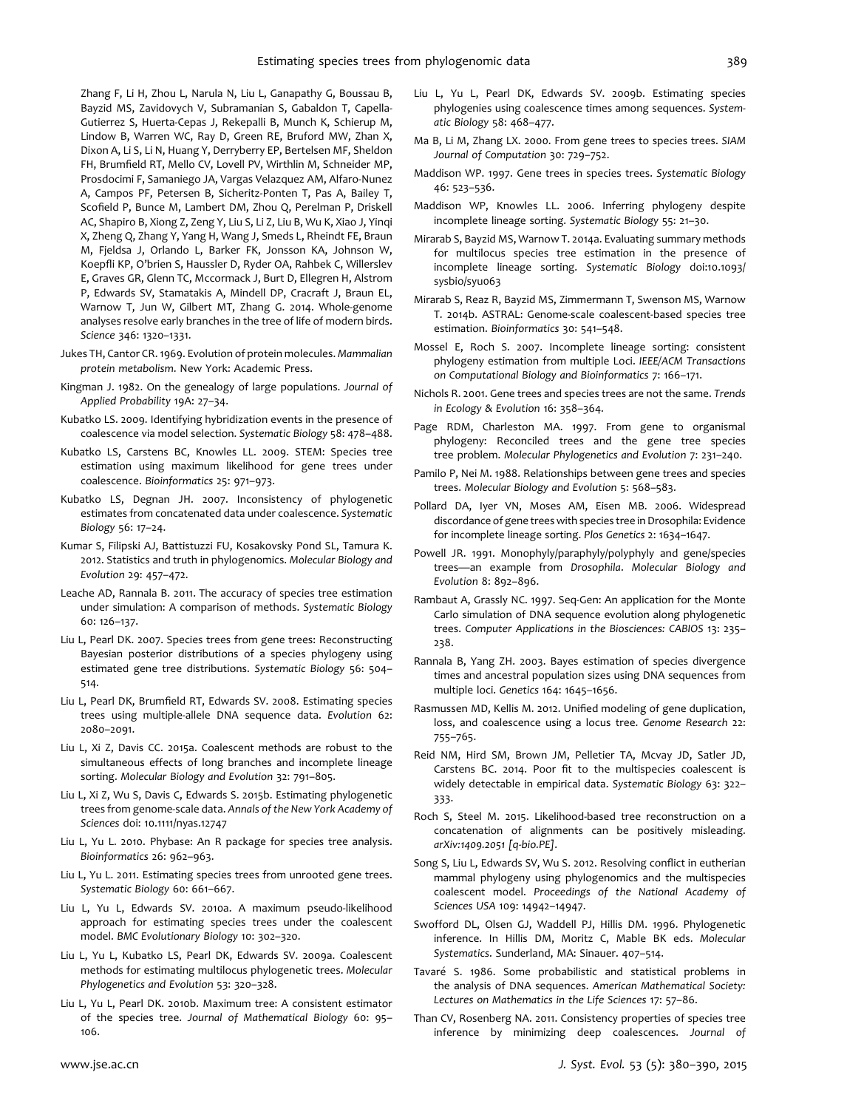Zhang F, Li H, Zhou L, Narula N, Liu L, Ganapathy G, Boussau B, Bayzid MS, Zavidovych V, Subramanian S, Gabaldon T, Capella-Gutierrez S, Huerta-Cepas J, Rekepalli B, Munch K, Schierup M, Lindow B, Warren WC, Ray D, Green RE, Bruford MW, Zhan X, Dixon A, Li S, Li N, Huang Y, Derryberry EP, Bertelsen MF, Sheldon FH, Brumfield RT, Mello CV, Lovell PV, Wirthlin M, Schneider MP, Prosdocimi F, Samaniego JA, Vargas Velazquez AM, Alfaro-Nunez A, Campos PF, Petersen B, Sicheritz-Ponten T, Pas A, Bailey T, Scofield P, Bunce M, Lambert DM, Zhou Q, Perelman P, Driskell AC, Shapiro B, Xiong Z, Zeng Y, Liu S, Li Z, Liu B, Wu K, Xiao J, Yinqi X, Zheng Q, Zhang Y, Yang H, Wang J, Smeds L, Rheindt FE, Braun M, Fjeldsa J, Orlando L, Barker FK, Jonsson KA, Johnson W, Koepfli KP, O'brien S, Haussler D, Ryder OA, Rahbek C, Willerslev E, Graves GR, Glenn TC, Mccormack J, Burt D, Ellegren H, Alstrom P, Edwards SV, Stamatakis A, Mindell DP, Cracraft J, Braun EL, Warnow T, Jun W, Gilbert MT, Zhang G. 2014. Whole-genome analyses resolve early branches in the tree of life of modern birds. Science 346: 1320–1331.

- Jukes TH, Cantor CR. 1969. Evolution of protein molecules. Mammalian protein metabolism. New York: Academic Press.
- Kingman J. 1982. On the genealogy of large populations. Journal of Applied Probability 19A: 27–34.
- Kubatko LS. 2009. Identifying hybridization events in the presence of coalescence via model selection. Systematic Biology 58: 478–488.
- Kubatko LS, Carstens BC, Knowles LL. 2009. STEM: Species tree estimation using maximum likelihood for gene trees under coalescence. Bioinformatics 25: 971–973.
- Kubatko LS, Degnan JH. 2007. Inconsistency of phylogenetic estimates from concatenated data under coalescence. Systematic Biology 56: 17–24.
- Kumar S, Filipski AJ, Battistuzzi FU, Kosakovsky Pond SL, Tamura K. 2012. Statistics and truth in phylogenomics. Molecular Biology and Evolution 29: 457–472.
- Leache AD, Rannala B. 2011. The accuracy of species tree estimation under simulation: A comparison of methods. Systematic Biology 60: 126–137.
- Liu L, Pearl DK. 2007. Species trees from gene trees: Reconstructing Bayesian posterior distributions of a species phylogeny using estimated gene tree distributions. Systematic Biology 56: 504– 514.
- Liu L, Pearl DK, Brumfield RT, Edwards SV. 2008. Estimating species trees using multiple-allele DNA sequence data. Evolution 62: 2080–2091.
- Liu L, Xi Z, Davis CC. 2015a. Coalescent methods are robust to the simultaneous effects of long branches and incomplete lineage sorting. Molecular Biology and Evolution 32: 791–805.
- Liu L, Xi Z, Wu S, Davis C, Edwards S. 2015b. Estimating phylogenetic trees from genome-scale data. Annals of the New York Academy of Sciences doi: 10.1111/nyas.12747
- Liu L, Yu L. 2010. Phybase: An R package for species tree analysis. Bioinformatics 26: 962–963.
- Liu L, Yu L. 2011. Estimating species trees from unrooted gene trees. Systematic Biology 60: 661–667.
- Liu L, Yu L, Edwards SV. 2010a. A maximum pseudo-likelihood approach for estimating species trees under the coalescent model. BMC Evolutionary Biology 10: 302–320.
- Liu L, Yu L, Kubatko LS, Pearl DK, Edwards SV. 2009a. Coalescent methods for estimating multilocus phylogenetic trees. Molecular Phylogenetics and Evolution 53: 320–328.
- Liu L, Yu L, Pearl DK. 2010b. Maximum tree: A consistent estimator of the species tree. Journal of Mathematical Biology 60: 95– 106.
- Liu L, Yu L, Pearl DK, Edwards SV. 2009b. Estimating species phylogenies using coalescence times among sequences. Systematic Biology 58: 468–477.
- Ma B, Li M, Zhang LX. 2000. From gene trees to species trees. SIAM Journal of Computation 30: 729–752.
- Maddison WP. 1997. Gene trees in species trees. Systematic Biology 46: 523–536.
- Maddison WP, Knowles LL. 2006. Inferring phylogeny despite incomplete lineage sorting. Systematic Biology 55: 21–30.
- Mirarab S, Bayzid MS, Warnow T. 2014a. Evaluating summary methods for multilocus species tree estimation in the presence of incomplete lineage sorting. Systematic Biology doi:10.1093/ sysbio/syu063
- Mirarab S, Reaz R, Bayzid MS, Zimmermann T, Swenson MS, Warnow T. 2014b. ASTRAL: Genome-scale coalescent-based species tree estimation. Bioinformatics 30: 541–548.
- Mossel E, Roch S. 2007. Incomplete lineage sorting: consistent phylogeny estimation from multiple Loci. IEEE/ACM Transactions on Computational Biology and Bioinformatics 7: 166–171.
- Nichols R. 2001. Gene trees and species trees are not the same. Trends in Ecology & Evolution 16: 358–364.
- Page RDM, Charleston MA. 1997. From gene to organismal phylogeny: Reconciled trees and the gene tree species tree problem. Molecular Phylogenetics and Evolution 7: 231–240.
- Pamilo P, Nei M. 1988. Relationships between gene trees and species trees. Molecular Biology and Evolution 5: 568–583.
- Pollard DA, Iyer VN, Moses AM, Eisen MB. 2006. Widespread discordance of gene trees with species tree in Drosophila: Evidence for incomplete lineage sorting. Plos Genetics 2: 1634–1647.
- Powell JR. 1991. Monophyly/paraphyly/polyphyly and gene/species trees—an example from Drosophila. Molecular Biology and Evolution 8: 892–896.
- Rambaut A, Grassly NC. 1997. Seq-Gen: An application for the Monte Carlo simulation of DNA sequence evolution along phylogenetic trees. Computer Applications in the Biosciences: CABIOS 13: 235– 238.
- Rannala B, Yang ZH. 2003. Bayes estimation of species divergence times and ancestral population sizes using DNA sequences from multiple loci. Genetics 164: 1645–1656.
- Rasmussen MD, Kellis M. 2012. Unified modeling of gene duplication, loss, and coalescence using a locus tree. Genome Research 22: 755–765.
- Reid NM, Hird SM, Brown JM, Pelletier TA, Mcvay JD, Satler JD, Carstens BC. 2014. Poor fit to the multispecies coalescent is widely detectable in empirical data. Systematic Biology 63: 322– 333.
- Roch S, Steel M. 2015. Likelihood-based tree reconstruction on a concatenation of alignments can be positively misleading. arXiv:1409.2051 [q-bio.PE].
- Song S, Liu L, Edwards SV, Wu S. 2012. Resolving conflict in eutherian mammal phylogeny using phylogenomics and the multispecies coalescent model. Proceedings of the National Academy of Sciences USA 109: 14942–14947.
- Swofford DL, Olsen GJ, Waddell PJ, Hillis DM. 1996. Phylogenetic inference. In Hillis DM, Moritz C, Mable BK eds. Molecular Systematics. Sunderland, MA: Sinauer. 407–514.
- Tavaré S. 1986. Some probabilistic and statistical problems in the analysis of DNA sequences. American Mathematical Society: Lectures on Mathematics in the Life Sciences 17: 57–86.
- Than CV, Rosenberg NA. 2011. Consistency properties of species tree inference by minimizing deep coalescences. Journal of